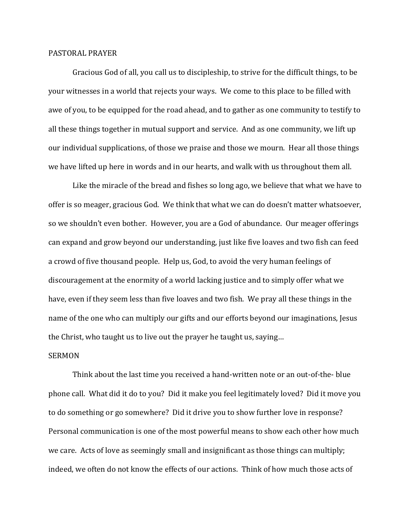## PASTORAL PRAYER

 Gracious God of all, you call us to discipleship, to strive for the difficult things, to be your witnesses in a world that rejects your ways. We come to this place to be filled with awe of you, to be equipped for the road ahead, and to gather as one community to testify to all these things together in mutual support and service. And as one community, we lift up our individual supplications, of those we praise and those we mourn. Hear all those things we have lifted up here in words and in our hearts, and walk with us throughout them all.

 Like the miracle of the bread and fishes so long ago, we believe that what we have to offer is so meager, gracious God. We think that what we can do doesn't matter whatsoever, so we shouldn't even bother. However, you are a God of abundance. Our meager offerings can expand and grow beyond our understanding, just like five loaves and two fish can feed a crowd of five thousand people. Help us, God, to avoid the very human feelings of discouragement at the enormity of a world lacking justice and to simply offer what we have, even if they seem less than five loaves and two fish. We pray all these things in the name of the one who can multiply our gifts and our efforts beyond our imaginations, Jesus the Christ, who taught us to live out the prayer he taught us, saying…

## SERMON

 Think about the last time you received a hand-written note or an out-of-the- blue phone call. What did it do to you? Did it make you feel legitimately loved? Did it move you to do something or go somewhere? Did it drive you to show further love in response? Personal communication is one of the most powerful means to show each other how much we care. Acts of love as seemingly small and insignificant as those things can multiply; indeed, we often do not know the effects of our actions. Think of how much those acts of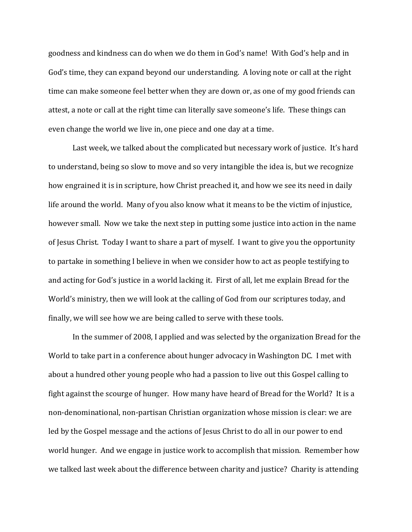goodness and kindness can do when we do them in God's name! With God's help and in God's time, they can expand beyond our understanding. A loving note or call at the right time can make someone feel better when they are down or, as one of my good friends can attest, a note or call at the right time can literally save someone's life. These things can even change the world we live in, one piece and one day at a time.

 Last week, we talked about the complicated but necessary work of justice. It's hard to understand, being so slow to move and so very intangible the idea is, but we recognize how engrained it is in scripture, how Christ preached it, and how we see its need in daily life around the world. Many of you also know what it means to be the victim of injustice, however small. Now we take the next step in putting some justice into action in the name of Jesus Christ. Today I want to share a part of myself. I want to give you the opportunity to partake in something I believe in when we consider how to act as people testifying to and acting for God's justice in a world lacking it. First of all, let me explain Bread for the World's ministry, then we will look at the calling of God from our scriptures today, and finally, we will see how we are being called to serve with these tools.

 In the summer of 2008, I applied and was selected by the organization Bread for the World to take part in a conference about hunger advocacy in Washington DC. I met with about a hundred other young people who had a passion to live out this Gospel calling to fight against the scourge of hunger. How many have heard of Bread for the World? It is a non-denominational, non-partisan Christian organization whose mission is clear: we are led by the Gospel message and the actions of Jesus Christ to do all in our power to end world hunger. And we engage in justice work to accomplish that mission. Remember how we talked last week about the difference between charity and justice? Charity is attending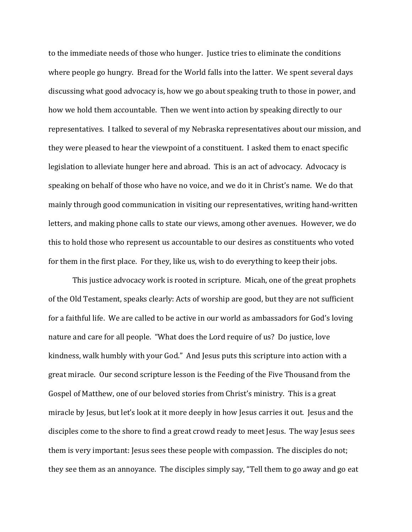to the immediate needs of those who hunger. Justice tries to eliminate the conditions where people go hungry. Bread for the World falls into the latter. We spent several days discussing what good advocacy is, how we go about speaking truth to those in power, and how we hold them accountable. Then we went into action by speaking directly to our representatives. I talked to several of my Nebraska representatives about our mission, and they were pleased to hear the viewpoint of a constituent. I asked them to enact specific legislation to alleviate hunger here and abroad. This is an act of advocacy. Advocacy is speaking on behalf of those who have no voice, and we do it in Christ's name. We do that mainly through good communication in visiting our representatives, writing hand-written letters, and making phone calls to state our views, among other avenues. However, we do this to hold those who represent us accountable to our desires as constituents who voted for them in the first place. For they, like us, wish to do everything to keep their jobs.

 This justice advocacy work is rooted in scripture. Micah, one of the great prophets of the Old Testament, speaks clearly: Acts of worship are good, but they are not sufficient for a faithful life. We are called to be active in our world as ambassadors for God's loving nature and care for all people. "What does the Lord require of us? Do justice, love kindness, walk humbly with your God." And Jesus puts this scripture into action with a great miracle. Our second scripture lesson is the Feeding of the Five Thousand from the Gospel of Matthew, one of our beloved stories from Christ's ministry. This is a great miracle by Jesus, but let's look at it more deeply in how Jesus carries it out. Jesus and the disciples come to the shore to find a great crowd ready to meet Jesus. The way Jesus sees them is very important: Jesus sees these people with compassion. The disciples do not; they see them as an annoyance. The disciples simply say, "Tell them to go away and go eat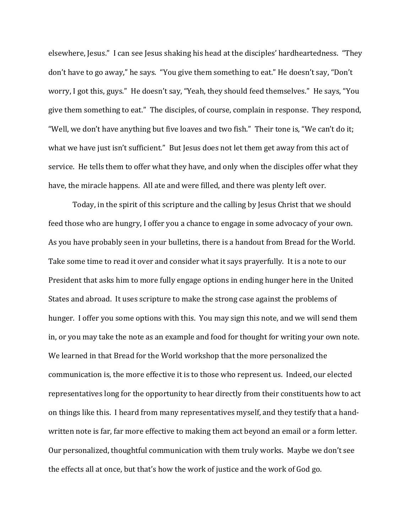elsewhere, Jesus." I can see Jesus shaking his head at the disciples' hardheartedness. "They don't have to go away," he says. "You give them something to eat." He doesn't say, "Don't worry, I got this, guys." He doesn't say, "Yeah, they should feed themselves." He says, "You give them something to eat." The disciples, of course, complain in response. They respond, "Well, we don't have anything but five loaves and two fish." Their tone is, "We can't do it; what we have just isn't sufficient." But Jesus does not let them get away from this act of service. He tells them to offer what they have, and only when the disciples offer what they have, the miracle happens. All ate and were filled, and there was plenty left over.

 Today, in the spirit of this scripture and the calling by Jesus Christ that we should feed those who are hungry, I offer you a chance to engage in some advocacy of your own. As you have probably seen in your bulletins, there is a handout from Bread for the World. Take some time to read it over and consider what it says prayerfully. It is a note to our President that asks him to more fully engage options in ending hunger here in the United States and abroad. It uses scripture to make the strong case against the problems of hunger. I offer you some options with this. You may sign this note, and we will send them in, or you may take the note as an example and food for thought for writing your own note. We learned in that Bread for the World workshop that the more personalized the communication is, the more effective it is to those who represent us. Indeed, our elected representatives long for the opportunity to hear directly from their constituents how to act on things like this. I heard from many representatives myself, and they testify that a handwritten note is far, far more effective to making them act beyond an email or a form letter. Our personalized, thoughtful communication with them truly works. Maybe we don't see the effects all at once, but that's how the work of justice and the work of God go.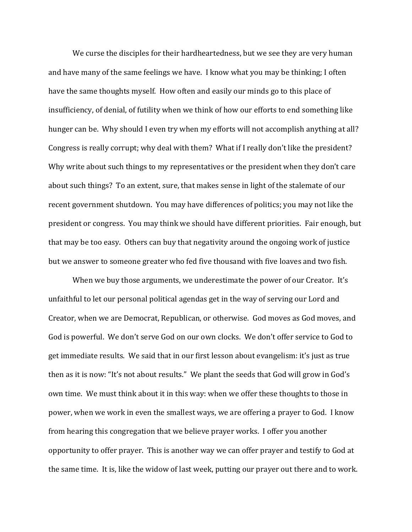We curse the disciples for their hardheartedness, but we see they are very human and have many of the same feelings we have. I know what you may be thinking; I often have the same thoughts myself. How often and easily our minds go to this place of insufficiency, of denial, of futility when we think of how our efforts to end something like hunger can be. Why should I even try when my efforts will not accomplish anything at all? Congress is really corrupt; why deal with them? What if I really don't like the president? Why write about such things to my representatives or the president when they don't care about such things? To an extent, sure, that makes sense in light of the stalemate of our recent government shutdown. You may have differences of politics; you may not like the president or congress. You may think we should have different priorities. Fair enough, but that may be too easy. Others can buy that negativity around the ongoing work of justice but we answer to someone greater who fed five thousand with five loaves and two fish.

When we buy those arguments, we underestimate the power of our Creator. It's unfaithful to let our personal political agendas get in the way of serving our Lord and Creator, when we are Democrat, Republican, or otherwise. God moves as God moves, and God is powerful. We don't serve God on our own clocks. We don't offer service to God to get immediate results. We said that in our first lesson about evangelism: it's just as true then as it is now: "It's not about results." We plant the seeds that God will grow in God's own time. We must think about it in this way: when we offer these thoughts to those in power, when we work in even the smallest ways, we are offering a prayer to God. I know from hearing this congregation that we believe prayer works. I offer you another opportunity to offer prayer. This is another way we can offer prayer and testify to God at the same time. It is, like the widow of last week, putting our prayer out there and to work.